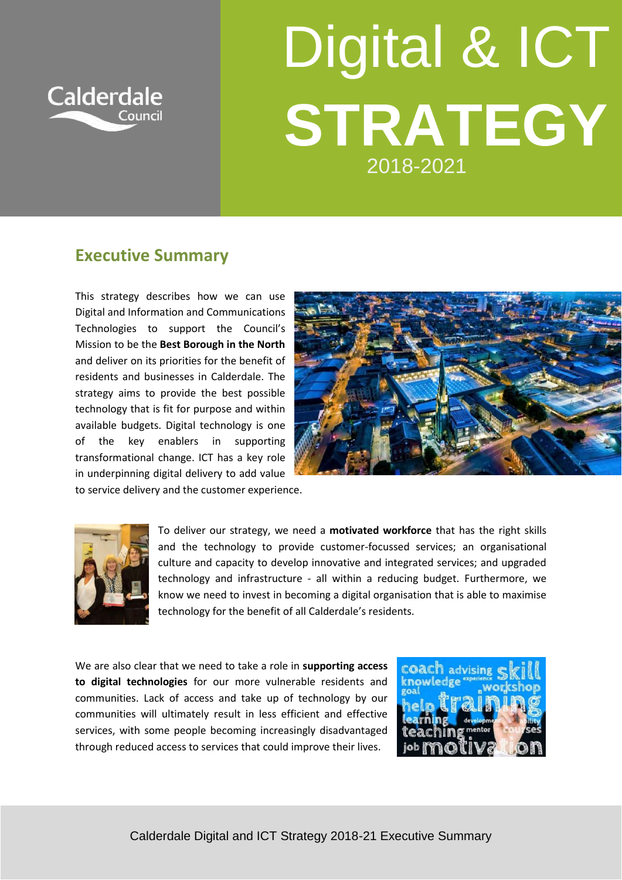

## Digital & ICT **STRATEGY** 2018-2021

## **Executive Summary**

This strategy describes how we can use Digital and Information and Communications Technologies to support the Council's Mission to be the **Best Borough in the North** and deliver on its priorities for the benefit of residents and businesses in Calderdale. The strategy aims to provide the best possible technology that is fit for purpose and within available budgets. Digital technology is one of the key enablers in supporting transformational change. ICT has a key role in underpinning digital delivery to add value to service delivery and the customer experience.





To deliver our strategy, we need a **motivated workforce** that has the right skills and the technology to provide customer-focussed services; an organisational culture and capacity to develop innovative and integrated services; and upgraded technology and infrastructure - all within a reducing budget. Furthermore, we know we need to invest in becoming a digital organisation that is able to maximise technology for the benefit of all Calderdale's residents.

We are also clear that we need to take a role in **supporting access to digital technologies** for our more vulnerable residents and communities. Lack of access and take up of technology by our communities will ultimately result in less efficient and effective services, with some people becoming increasingly disadvantaged through reduced access to services that could improve their lives.